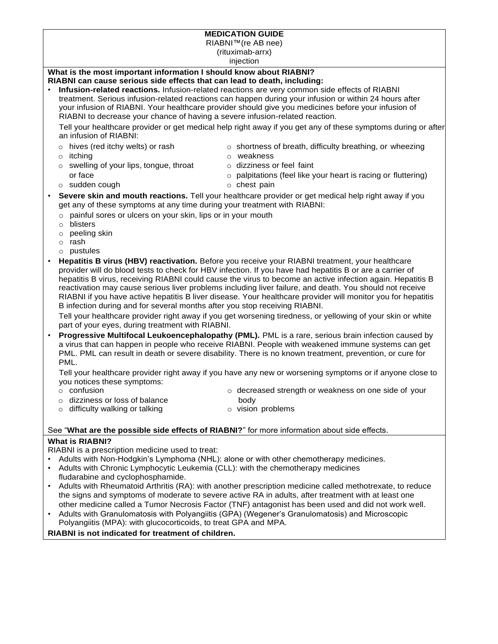# **MEDICATION GUIDE**

RIABNI™(re AB nee)

(rituximab-arrx)

injection

# **What is the most important information I should know about RIABNI?**

# **RIABNI can cause serious side effects that can lead to death, including:**

• **Infusion-related reactions.** Infusion-related reactions are very common side effects of RIABNI treatment. Serious infusion-related reactions can happen during your infusion or within 24 hours after your infusion of RIABNI. Your healthcare provider should give you medicines before your infusion of RIABNI to decrease your chance of having a severe infusion-related reaction.

Tell your healthcare provider or get medical help right away if you get any of these symptoms during or after an infusion of RIABNI:

- $\circ$  hives (red itchy welts) or rash  $\circ$  shortness of breath, difficulty breathing, or wheezing
- 
- o itching o weakness  $\circ$  swelling of your lips, tongue, throat  $\circ$  dizziness or feel faint
- -
	- or face o palpitations (feel like your heart is racing or fluttering)
- o sudden cough o chest pain
- 
- **Severe skin and mouth reactions.** Tell your healthcare provider or get medical help right away if you get any of these symptoms at any time during your treatment with RIABNI:
	- o painful sores or ulcers on your skin, lips or in your mouth
	- o blisters
	- o peeling skin
	- o rash
	- o pustules
- **Hepatitis B virus (HBV) reactivation.** Before you receive your RIABNI treatment, your healthcare provider will do blood tests to check for HBV infection. If you have had hepatitis B or are a carrier of hepatitis B virus, receiving RIABNI could cause the virus to become an active infection again. Hepatitis B reactivation may cause serious liver problems including liver failure, and death. You should not receive RIABNI if you have active hepatitis B liver disease. Your healthcare provider will monitor you for hepatitis B infection during and for several months after you stop receiving RIABNI.

Tell your healthcare provider right away if you get worsening tiredness, or yellowing of your skin or white part of your eyes, during treatment with RIABNI.

• **Progressive Multifocal Leukoencephalopathy (PML).** PML is a rare, serious brain infection caused by a virus that can happen in people who receive RIABNI. People with weakened immune systems can get PML. PML can result in death or severe disability. There is no known treatment, prevention, or cure for PML.

Tell your healthcare provider right away if you have any new or worsening symptoms or if anyone close to you notices these symptoms:

- 
- $\circ$  confusion  $\circ$  confusion  $\circ$  decreased strength or weakness on one side of your
- o dizziness or loss of balance body
- o difficulty walking or talking on the state of vision problems

## See "**What are the possible side effects of RIABNI?**" for more information about side effects.

## **What is RIABNI?**

RIABNI is a prescription medicine used to treat:

- Adults with Non-Hodgkin's Lymphoma (NHL): alone or with other chemotherapy medicines.
- Adults with Chronic Lymphocytic Leukemia (CLL): with the chemotherapy medicines fludarabine and cyclophosphamide.
- Adults with Rheumatoid Arthritis (RA): with another prescription medicine called methotrexate, to reduce the signs and symptoms of moderate to severe active RA in adults, after treatment with at least one other medicine called a Tumor Necrosis Factor (TNF) antagonist has been used and did not work well.
- Adults with Granulomatosis with Polyangiitis (GPA) (Wegener's Granulomatosis) and Microscopic Polyangiitis (MPA): with glucocorticoids, to treat GPA and MPA.

**RIABNI is not indicated for treatment of children.**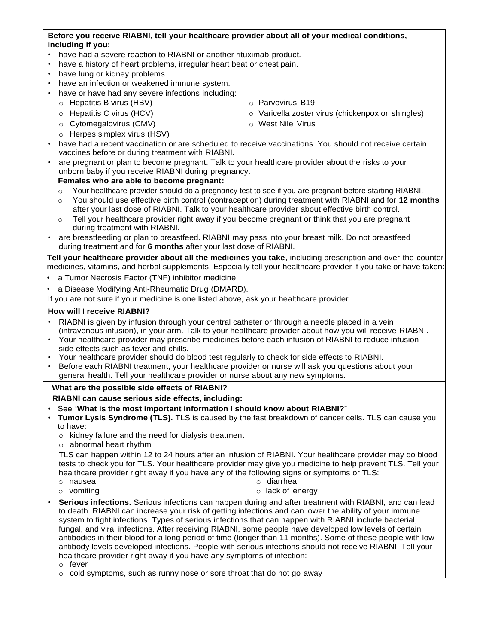### **Before you receive RIABNI, tell your healthcare provider about all of your medical conditions, including if you:**

- have had a severe reaction to RIABNI or another rituximab product.
- have a history of heart problems, irregular heart beat or chest pain.
- have lung or kidney problems.
- have an infection or weakened immune system.
- have or have had any severe infections including:
	- o Hepatitis B virus (HBV) o Parvovirus B19
	-
	- o Cytomegalovirus (CMV) o West Nile Virus
	- o Herpes simplex virus (HSV)
- have had a recent vaccination or are scheduled to receive vaccinations. You should not receive certain vaccines before or during treatment with RIABNI.
- are pregnant or plan to become pregnant. Talk to your healthcare provider about the risks to your unborn baby if you receive RIABNI during pregnancy.

#### **Females who are able to become pregnant:**

- o Your healthcare provider should do a pregnancy test to see if you are pregnant before starting RIABNI.
- o You should use effective birth control (contraception) during treatment with RIABNI and for **12 months**  after your last dose of RIABNI. Talk to your healthcare provider about effective birth control.
- Tell your healthcare provider right away if you become pregnant or think that you are pregnant during treatment with RIABNI.
- are breastfeeding or plan to breastfeed. RIABNI may pass into your breast milk. Do not breastfeed during treatment and for **6 months** after your last dose of RIABNI.

**Tell your healthcare provider about all the medicines you take**, including prescription and over-the-counter medicines, vitamins, and herbal supplements. Especially tell your healthcare provider if you take or have taken:

- a Tumor Necrosis Factor (TNF) inhibitor medicine.
- a Disease Modifying Anti-Rheumatic Drug (DMARD).

If you are not sure if your medicine is one listed above, ask your healthcare provider.

#### **How will I receive RIABNI?**

- RIABNI is given by infusion through your central catheter or through a needle placed in a vein (intravenous infusion), in your arm. Talk to your healthcare provider about how you will receive RIABNI.
- Your healthcare provider may prescribe medicines before each infusion of RIABNI to reduce infusion side effects such as fever and chills.
- Your healthcare provider should do blood test regularly to check for side effects to RIABNI.
- Before each RIABNI treatment, your healthcare provider or nurse will ask you questions about your general health. Tell your healthcare provider or nurse about any new symptoms.

#### **What are the possible side effects of RIABNI?**

## **RIABNI can cause serious side effects, including:**

- See "**What is the most important information I should know about RIABNI?**"
- **Tumor Lysis Syndrome (TLS).** TLS is caused by the fast breakdown of cancer cells. TLS can cause you to have:
	- o kidney failure and the need for dialysis treatment
	- o abnormal heart rhythm

TLS can happen within 12 to 24 hours after an infusion of RIABNI. Your healthcare provider may do blood tests to check you for TLS. Your healthcare provider may give you medicine to help prevent TLS. Tell your healthcare provider right away if you have any of the following signs or symptoms or TLS:

- o nausea o diarrhea
	-
- o vomiting o lack of energy
- **Serious infections.** Serious infections can happen during and after treatment with RIABNI, and can lead to death. RIABNI can increase your risk of getting infections and can lower the ability of your immune system to fight infections. Types of serious infections that can happen with RIABNI include bacterial, fungal, and viral infections. After receiving RIABNI, some people have developed low levels of certain antibodies in their blood for a long period of time (longer than 11 months). Some of these people with low antibody levels developed infections. People with serious infections should not receive RIABNI. Tell your healthcare provider right away if you have any symptoms of infection:

o fever

o cold symptoms, such as runny nose or sore throat that do not go away

- 
- o Hepatitis C virus (HCV) o Varicella zoster virus (chickenpox or shingles)
	-